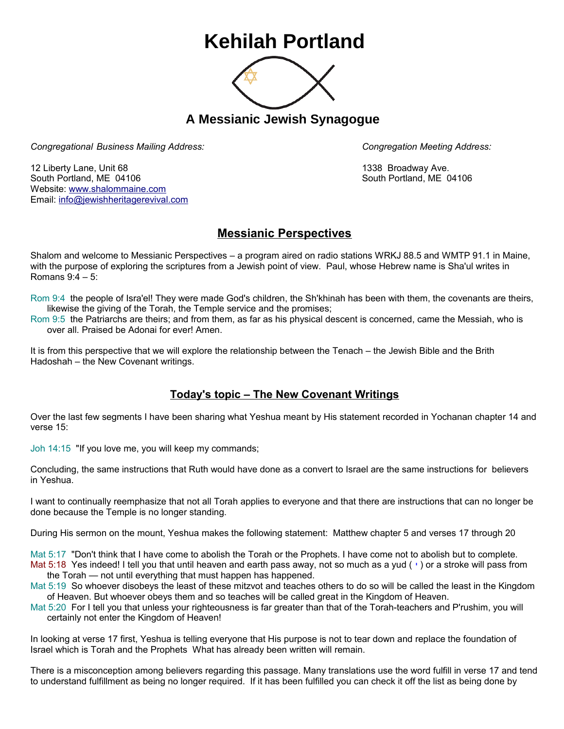## **Kehilah Portland**



**A Messianic Jewish Synagogue** 

*Congregational Business Mailing Address: Congregation Meeting Address:*

12 Liberty Lane, Unit 68 1338 Broadway Ave. South Portland, ME 04106 South Portland, ME 04106 Website: [www.shalommaine.com](http://www.shalommaine.com/) Email: [info@jewishheritagerevival.com](mailto:info@jewishheritagerevival.com) 

## **Messianic Perspectives**

Shalom and welcome to Messianic Perspectives – a program aired on radio stations WRKJ 88.5 and WMTP 91.1 in Maine, with the purpose of exploring the scriptures from a Jewish point of view. Paul, whose Hebrew name is Sha'ul writes in Romans 9:4 – 5:

Rom 9:4 the people of Isra'el! They were made God's children, the Sh'khinah has been with them, the covenants are theirs, likewise the giving of the Torah, the Temple service and the promises;

Rom 9:5 the Patriarchs are theirs; and from them, as far as his physical descent is concerned, came the Messiah, who is over all. Praised be Adonai for ever! Amen.

It is from this perspective that we will explore the relationship between the Tenach – the Jewish Bible and the Brith Hadoshah – the New Covenant writings.

## **Today's topic – The New Covenant Writings**

Over the last few segments I have been sharing what Yeshua meant by His statement recorded in Yochanan chapter 14 and verse 15:

Joh 14:15 "If you love me, you will keep my commands;

Concluding, the same instructions that Ruth would have done as a convert to Israel are the same instructions for believers in Yeshua.

I want to continually reemphasize that not all Torah applies to everyone and that there are instructions that can no longer be done because the Temple is no longer standing.

During His sermon on the mount, Yeshua makes the following statement: Matthew chapter 5 and verses 17 through 20

Mat 5:17 "Don't think that I have come to abolish the Torah or the Prophets. I have come not to abolish but to complete.

- Mat 5:18 Yes indeed! I tell you that until heaven and earth pass away, not so much as a yud ( ') or a stroke will pass from the Torah — not until everything that must happen has happened.
- Mat 5:19 So whoever disobeys the least of these mitzvot and teaches others to do so will be called the least in the Kingdom of Heaven. But whoever obeys them and so teaches will be called great in the Kingdom of Heaven.
- Mat 5:20 For I tell you that unless your righteousness is far greater than that of the Torah-teachers and P'rushim, you will certainly not enter the Kingdom of Heaven!

In looking at verse 17 first, Yeshua is telling everyone that His purpose is not to tear down and replace the foundation of Israel which is Torah and the Prophets What has already been written will remain.

There is a misconception among believers regarding this passage. Many translations use the word fulfill in verse 17 and tend to understand fulfillment as being no longer required. If it has been fulfilled you can check it off the list as being done by